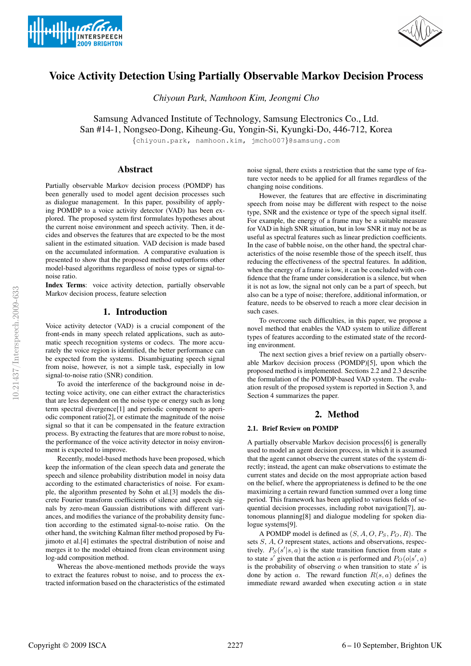



# Voice Activity Detection Using Partially Observable Markov Decision Process

*Chiyoun Park, Namhoon Kim, Jeongmi Cho*

Samsung Advanced Institute of Technology, Samsung Electronics Co., Ltd. San #14-1, Nongseo-Dong, Kiheung-Gu, Yongin-Si, Kyungki-Do, 446-712, Korea

{chiyoun.park, namhoon.kim, jmcho007}@samsung.com

# Abstract

Partially observable Markov decision process (POMDP) has been generally used to model agent decision processes such as dialogue management. In this paper, possibility of applying POMDP to a voice activity detector (VAD) has been explored. The proposed system first formulates hypotheses about the current noise environment and speech activity. Then, it decides and observes the features that are expected to be the most salient in the estimated situation. VAD decision is made based on the accumulated information. A comparative evaluation is presented to show that the proposed method outperforms other model-based algorithms regardless of noise types or signal-tonoise ratio.

Index Terms: voice activity detection, partially observable Markov decision process, feature selection

# 1. Introduction

Voice activity detector (VAD) is a crucial component of the front-ends in many speech related applications, such as automatic speech recognition systems or codecs. The more accurately the voice region is identified, the better performance can be expected from the systems. Disambiguating speech signal from noise, however, is not a simple task, especially in low signal-to-noise ratio (SNR) condition.

To avoid the interference of the background noise in detecting voice activity, one can either extract the characteristics that are less dependent on the noise type or energy such as long term spectral divergence[1] and periodic component to aperiodic component ratio[2], or estimate the magnitude of the noise signal so that it can be compensated in the feature extraction process. By extracting the features that are more robust to noise, the performance of the voice activity detector in noisy environment is expected to improve.

Recently, model-based methods have been proposed, which keep the information of the clean speech data and generate the speech and silence probability distribution model in noisy data according to the estimated characteristics of noise. For example, the algorithm presented by Sohn et al.[3] models the discrete Fourier transform coefficients of silence and speech signals by zero-mean Gaussian distributions with different variances, and modifies the variance of the probability density function according to the estimated signal-to-noise ratio. On the other hand, the switching Kalman filter method proposed by Fujimoto et al.[4] estimates the spectral distribution of noise and merges it to the model obtained from clean environment using log-add composition method.

Whereas the above-mentioned methods provide the ways to extract the features robust to noise, and to process the extracted information based on the characteristics of the estimated noise signal, there exists a restriction that the same type of feature vector needs to be applied for all frames regardless of the changing noise conditions.

However, the features that are effective in discriminating speech from noise may be different with respect to the noise type, SNR and the existence or type of the speech signal itself. For example, the energy of a frame may be a suitable measure for VAD in high SNR situation, but in low SNR it may not be as useful as spectral features such as linear prediction coefficients. In the case of babble noise, on the other hand, the spectral characteristics of the noise resemble those of the speech itself, thus reducing the effectiveness of the spectral features. In addition, when the energy of a frame is low, it can be concluded with confidence that the frame under consideration is a silence, but when it is not as low, the signal not only can be a part of speech, but also can be a type of noise; therefore, additional information, or feature, needs to be observed to reach a more clear decision in such cases.

To overcome such difficulties, in this paper, we propose a novel method that enables the VAD system to utilize different types of features according to the estimated state of the recording environment.

The next section gives a brief review on a partially observable Markov decision process (POMDP)[5], upon which the proposed method is implemented. Sections 2.2 and 2.3 describe the formulation of the POMDP-based VAD system. The evaluation result of the proposed system is reported in Section 3, and Section 4 summarizes the paper.

# 2. Method

### 2.1. Brief Review on POMDP

A partially observable Markov decision process[6] is generally used to model an agent decision process, in which it is assumed that the agent cannot observe the current states of the system directly; instead, the agent can make observations to estimate the current states and decide on the most appropriate action based on the belief, where the appropriateness is defined to be the one maximizing a certain reward function summed over a long time period. This framework has been applied to various fields of sequential decision processes, including robot navigation[7], autonomous planning[8] and dialogue modeling for spoken dialogue systems[9].

A POMDP model is defined as  $(S, A, O, P_S, P_O, R)$ . The sets S, A, O represent states, actions and observations, respectively.  $P_S(s'|s, a)$  is the state transition function from state s to state s' given that the action a is performed and  $P_O(o|s', a)$ is the probability of observing  $o$  when transition to state  $s'$  is done by action a. The reward function  $R(s, a)$  defines the immediate reward awarded when executing action  $a$  in state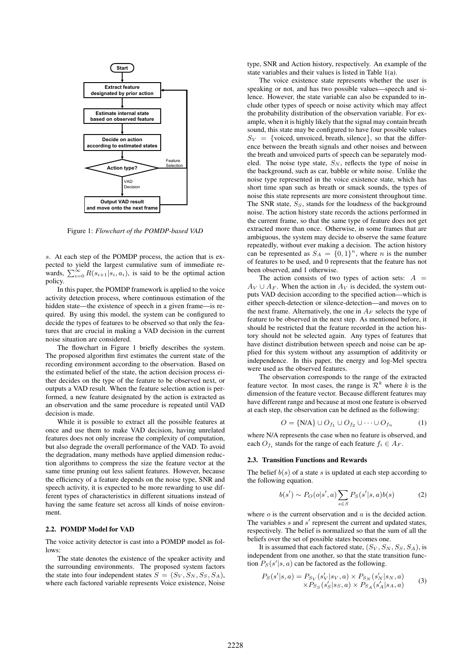

Figure 1: *Flowchart of the POMDP-based VAD*

s. At each step of the POMDP process, the action that is expected to yield the largest cumulative sum of immediate rewards,  $\sum_{i=0}^{\infty} R(s_{i+1}|s_i, a_i)$ , is said to be the optimal action policy.

In this paper, the POMDP framework is applied to the voice activity detection process, where continuous estimation of the hidden state—the existence of speech in a given frame—is required. By using this model, the system can be configured to decide the types of features to be observed so that only the features that are crucial in making a VAD decision in the current noise situation are considered.

The flowchart in Figure 1 briefly describes the system. The proposed algorithm first estimates the current state of the recording environment according to the observation. Based on the estimated belief of the state, the action decision process either decides on the type of the feature to be observed next, or outputs a VAD result. When the feature selection action is performed, a new feature designated by the action is extracted as an observation and the same procedure is repeated until VAD decision is made.

While it is possible to extract all the possible features at once and use them to make VAD decision, having unrelated features does not only increase the complexity of computation, but also degrade the overall performance of the VAD. To avoid the degradation, many methods have applied dimension reduction algorithms to compress the size the feature vector at the same time pruning out less salient features. However, because the efficiency of a feature depends on the noise type, SNR and speech activity, it is expected to be more rewarding to use different types of characteristics in different situations instead of having the same feature set across all kinds of noise environment.

# 2.2. POMDP Model for VAD

The voice activity detector is cast into a POMDP model as follows:

The state denotes the existence of the speaker activity and the surrounding environments. The proposed system factors the state into four independent states  $S = (S_V, S_N, S_S, S_A)$ , where each factored variable represents Voice existence, Noise type, SNR and Action history, respectively. An example of the state variables and their values is listed in Table 1(a).

The voice existence state represents whether the user is speaking or not, and has two possible values—speech and silence. However, the state variable can also be expanded to include other types of speech or noise activity which may affect the probability distribution of the observation variable. For example, when it is highly likely that the signal may contain breath sound, this state may be configured to have four possible values  $S_V = \{v \text{oiced}, uv \text{oiced}, \text{breath}, \text{silence}\}$ , so that the difference between the breath signals and other noises and between the breath and unvoiced parts of speech can be separately modeled. The noise type state,  $S_N$ , reflects the type of noise in the background, such as car, babble or white noise. Unlike the noise type represented in the voice existence state, which has short time span such as breath or smack sounds, the types of noise this state represents are more consistent throughout time. The SNR state,  $S_S$ , stands for the loudness of the background noise. The action history state records the actions performed in the current frame, so that the same type of feature does not get extracted more than once. Otherwise, in some frames that are ambiguous, the system may decide to observe the same feature repeatedly, without ever making a decision. The action history can be represented as  $S_A = \{0, 1\}^n$ , where *n* is the number of features to be used, and 0 represents that the feature has not been observed, and 1 otherwise.

The action consists of two types of action sets:  $A =$  $A_V \cup A_F$ . When the action in  $A_V$  is decided, the system outputs VAD decision according to the specified action—which is either speech-detection or silence-detection—and moves on to the next frame. Alternatively, the one in  $A_F$  selects the type of feature to be observed in the next step. As mentioned before, it should be restricted that the feature recorded in the action history should not be selected again. Any types of features that have distinct distribution between speech and noise can be applied for this system without any assumption of additivity or independence. In this paper, the energy and log-Mel spectra were used as the observed features.

The observation corresponds to the range of the extracted feature vector. In most cases, the range is  $\mathcal{R}^k$  where k is the dimension of the feature vector. Because different features may have different range and because at most one feature is observed at each step, the observation can be defined as the following:

$$
O = \{N/A\} \cup O_{f_1} \cup O_{f_2} \cup \dots \cup O_{f_n} \tag{1}
$$

where N/A represents the case when no feature is observed, and each  $O_{f_i}$  stands for the range of each feature  $f_i \in A_F$ .

#### 2.3. Transition Functions and Rewards

The belief  $b(s)$  of a state s is updated at each step according to the following equation.

$$
b(s') \sim P_O(o|s',a) \sum_{s \in S} P_S(s'|s,a)b(s)
$$
 (2)

where  $o$  is the current observation and  $a$  is the decided action. The variables  $s$  and  $s'$  represent the current and updated states, respectively. The belief is normalized so that the sum of all the beliefs over the set of possible states becomes one.

It is assumed that each factored state,  $(S_V, S_N, S_S, S_A)$ , is independent from one another, so that the state transition function  $P_S(s'|s, a)$  can be factored as the following.

$$
P_S(s'|s, a) = P_{S_V}(s'_V|s_V, a) \times P_{S_N}(s'_N|s_N, a)
$$
  
 
$$
\times P_{S_S}(s'_S|s_S, a) \times P_{S_A}(s'_A|s_A, a)
$$
 (3)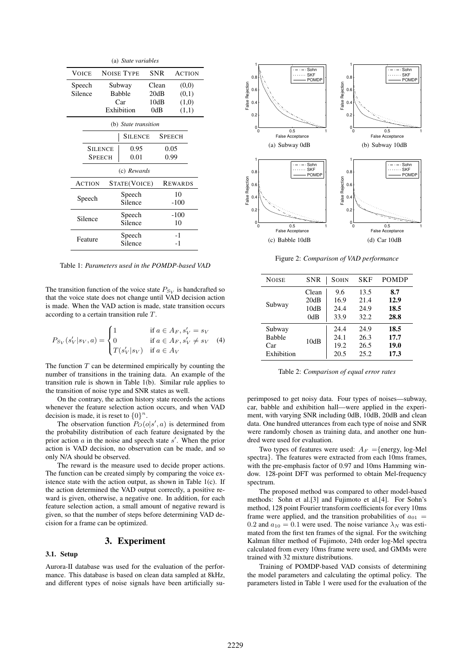| (a) <i>State variables</i> |               |                   |              |               |                |  |  |  |  |
|----------------------------|---------------|-------------------|--------------|---------------|----------------|--|--|--|--|
| <b>VOICE</b>               |               | <b>NOISE TYPE</b> | <b>SNR</b>   |               | <b>ACTION</b>  |  |  |  |  |
| Speech                     |               | Subway            |              | Clean         | (0,0)          |  |  |  |  |
| Silence                    |               | <b>Babble</b>     |              | 20dB          | (0,1)          |  |  |  |  |
|                            |               | Car               |              | 10dB          | (1,0)          |  |  |  |  |
|                            |               | Exhibition        |              | 0dB           | (1,1)          |  |  |  |  |
| (b) State transition       |               |                   |              |               |                |  |  |  |  |
|                            | SILENCE       |                   |              | <b>SPEECH</b> |                |  |  |  |  |
| Silence                    | 0.95          |                   |              | 0.05          |                |  |  |  |  |
| <b>SPEECH</b>              |               | 0.01              |              | 0.99          |                |  |  |  |  |
| (c) Rewards                |               |                   |              |               |                |  |  |  |  |
|                            | <b>ACTION</b> |                   | STATE(VOICE) |               | <b>REWARDS</b> |  |  |  |  |
| Speech                     |               | Speech            |              | 10            |                |  |  |  |  |
|                            |               | Silence           |              | $-100$        |                |  |  |  |  |
| Silence                    |               | Speech            |              | $-100$        |                |  |  |  |  |
|                            |               | Silence           |              | 10            |                |  |  |  |  |
| Feature                    |               | Speech<br>Silence |              |               | $-1$           |  |  |  |  |
|                            |               |                   |              | -1            |                |  |  |  |  |

Table 1: *Parameters used in the POMDP-based VAD*

The transition function of the voice state  $P_{S_V}$  is handcrafted so that the voice state does not change until VAD decision action is made. When the VAD action is made, state transition occurs according to a certain transition rule T.

$$
P_{S_V}(s'_V|s_V, a) = \begin{cases} 1 & \text{if } a \in A_F, s'_V = s_V \\ 0 & \text{if } a \in A_F, s'_V \neq s_V \\ T(s'_V|s_V) & \text{if } a \in A_V \end{cases}
$$
 (4)

The function  $T$  can be determined empirically by counting the number of transitions in the training data. An example of the transition rule is shown in Table 1(b). Similar rule applies to the transition of noise type and SNR states as well.

On the contrary, the action history state records the actions whenever the feature selection action occurs, and when VAD decision is made, it is reset to  ${0}^n$ .

The observation function  $P_O(o|s', a)$  is determined from the probability distribution of each feature designated by the prior action  $\alpha$  in the noise and speech state  $s'$ . When the prior action is VAD decision, no observation can be made, and so only N/A should be observed.

The reward is the measure used to decide proper actions. The function can be created simply by comparing the voice existence state with the action output, as shown in Table  $1(c)$ . If the action determined the VAD output correctly, a positive reward is given, otherwise, a negative one. In addition, for each feature selection action, a small amount of negative reward is given, so that the number of steps before determining VAD decision for a frame can be optimized.

## 3. Experiment

### 3.1. Setup

Aurora-II database was used for the evaluation of the performance. This database is based on clean data sampled at 8kHz, and different types of noise signals have been artificially su-



Figure 2: *Comparison of VAD performance*

| <b>NOISE</b>  | SNR   | SOHN | SKF  | <b>POMDP</b> |
|---------------|-------|------|------|--------------|
| Subway        | Clean | 9.6  | 13.5 | 8.7          |
|               | 20dB  | 16.9 | 21.4 | 12.9         |
|               | 10dB  | 24.4 | 24.9 | 18.5         |
|               | 0dB   | 33.9 | 32.2 | 28.8         |
| Subway        | 10dB  | 24.4 | 24.9 | 18.5         |
| <b>Babble</b> |       | 24.1 | 26.3 | 17.7         |
| Car           |       | 19.2 | 26.5 | 19.0         |
| Exhibition    |       | 20.5 | 25.2 | 17.3         |

Table 2: *Comparison of equal error rates*

perimposed to get noisy data. Four types of noises—subway, car, babble and exhibition hall—were applied in the experiment, with varying SNR including 0dB, 10dB, 20dB and clean data. One hundred utterances from each type of noise and SNR were randomly chosen as training data, and another one hundred were used for evaluation.

Two types of features were used:  $A_F = \{energy, log-Mel$ spectra}. The features were extracted from each 10ms frames, with the pre-emphasis factor of 0.97 and 10ms Hamming window. 128-point DFT was performed to obtain Mel-frequency spectrum.

The proposed method was compared to other model-based methods: Sohn et al.[3] and Fujimoto et al.[4]. For Sohn's method, 128 point Fourier transform coefficients for every 10ms frame were applied, and the transition probabilities of  $a_{01}$  = 0.2 and  $a_{10} = 0.1$  were used. The noise variance  $\lambda_N$  was estimated from the first ten frames of the signal. For the switching Kalman filter method of Fujimoto, 24th order log-Mel spectra calculated from every 10ms frame were used, and GMMs were trained with 32 mixture distributions.

Training of POMDP-based VAD consists of determining the model parameters and calculating the optimal policy. The parameters listed in Table 1 were used for the evaluation of the